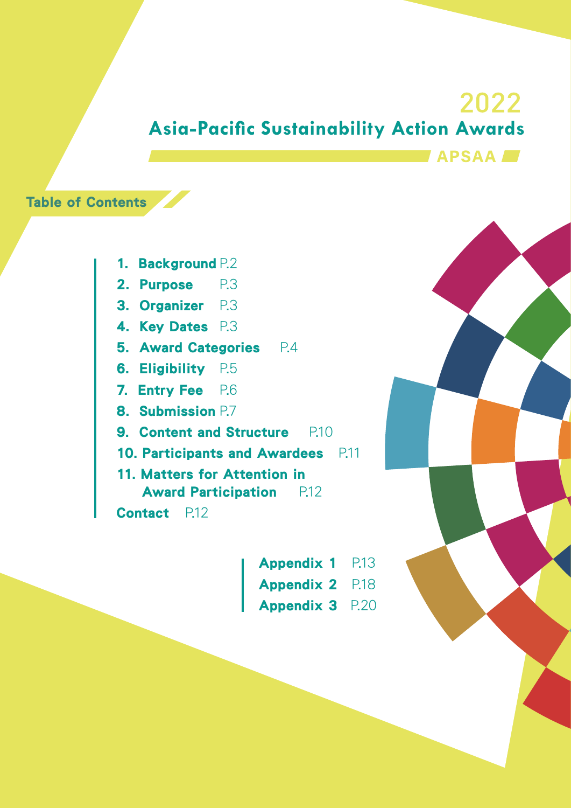# 2022 **Asia-Pacific Sustainability Action Awards APSAA**

### Table of Contents

- 1. Background P.2
- 2. Purpose P.3
- 3. Organizer P.3
- 4. Key Dates P.3
- 5. Award Categories P.4
- 6. Eligibility P.5
- 7. Entry Fee P.6
- 8. Submission P.7
- **9. Content and Structure** P.10
- 10. Participants and Awardees P.11
- 11. Matters for Attention in Award Participation P.12

Contact P.12

Appendix 1 Appendix 2 P.18 Appendix 3 P.20 P.13

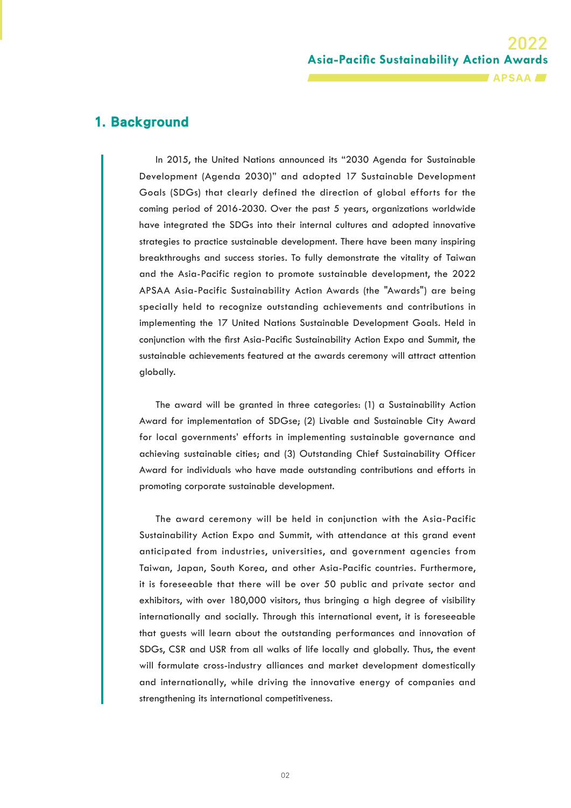**Asia-Pacific Sustainability Action Awards APSAA** 

#### 1. Background

In 2015, the United Nations announced its "2030 Agenda for Sustainable Development (Agenda 2030)" and adopted 17 Sustainable Development Goals (SDGs) that clearly defined the direction of global efforts for the coming period of 2016-2030. Over the past 5 years, organizations worldwide have integrated the SDGs into their internal cultures and adopted innovative strategies to practice sustainable development. There have been many inspiring breakthroughs and success stories. To fully demonstrate the vitality of Taiwan and the Asia-Pacific region to promote sustainable development, the 2022 APSAA Asia-Pacific Sustainability Action Awards (the "Awards") are being specially held to recognize outstanding achievements and contributions in implementing the 17 United Nations Sustainable Development Goals. Held in conjunction with the first Asia-Pacific Sustainability Action Expo and Summit, the sustainable achievements featured at the awards ceremony will attract attention globally.

The award will be granted in three categories: (1) a Sustainability Action Award for implementation of SDGse; (2) Livable and Sustainable City Award for local governments' efforts in implementing sustainable governance and achieving sustainable cities; and (3) Outstanding Chief Sustainability Officer Award for individuals who have made outstanding contributions and efforts in promoting corporate sustainable development.

The award ceremony will be held in conjunction with the Asia-Pacific Sustainability Action Expo and Summit, with attendance at this grand event anticipated from industries, universities, and government agencies from Taiwan, Japan, South Korea, and other Asia-Pacific countries. Furthermore, it is foreseeable that there will be over 50 public and private sector and exhibitors, with over 180,000 visitors, thus bringing a high degree of visibility internationally and socially. Through this international event, it is foreseeable that guests will learn about the outstanding performances and innovation of SDGs, CSR and USR from all walks of life locally and globally. Thus, the event will formulate cross-industry alliances and market development domestically and internationally, while driving the innovative energy of companies and strengthening its international competitiveness.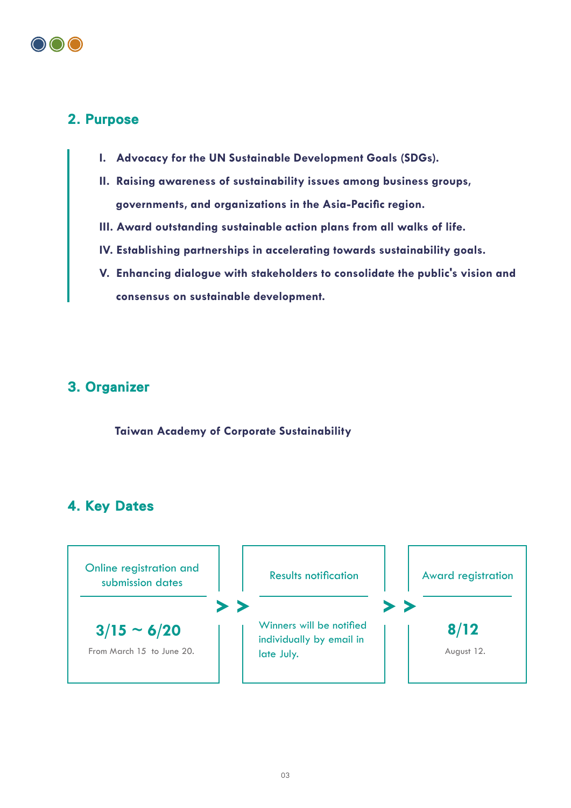

#### 2. Purpose

- **I. Advocacy for the UN Sustainable Development Goals (SDGs).**
- **II. Raising awareness of sustainability issues among business groups, governments, and organizations in the Asia-Pacific region.**
- **III. Award outstanding sustainable action plans from all walks of life.**
- **IV. Establishing partnerships in accelerating towards sustainability goals.**
- **V. Enhancing dialogue with stakeholders to consolidate the public's vision and consensus on sustainable development.**

#### 3. Organizer

**Taiwan Academy of Corporate Sustainability**

#### 4. Key Dates

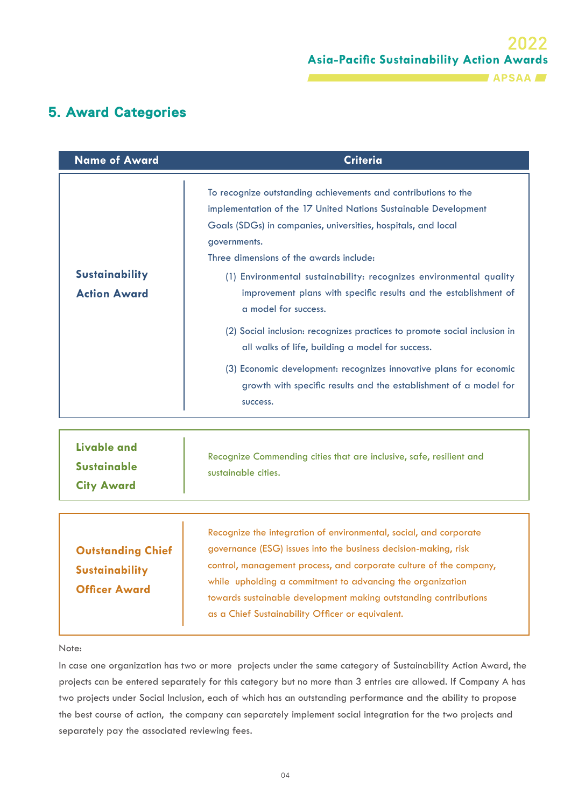#### 5. Award Categories

| <b>Name of Award</b>                         | <b>Criteria</b>                                                                                                                                                                                                                                                                                                                                                                                                                                                                                                                                                                                                                                                                                                         |
|----------------------------------------------|-------------------------------------------------------------------------------------------------------------------------------------------------------------------------------------------------------------------------------------------------------------------------------------------------------------------------------------------------------------------------------------------------------------------------------------------------------------------------------------------------------------------------------------------------------------------------------------------------------------------------------------------------------------------------------------------------------------------------|
| <b>Sustainability</b><br><b>Action Award</b> | To recognize outstanding achievements and contributions to the<br>implementation of the 17 United Nations Sustainable Development<br>Goals (SDGs) in companies, universities, hospitals, and local<br>governments.<br>Three dimensions of the awards include:<br>(1) Environmental sustainability: recognizes environmental quality<br>improvement plans with specific results and the establishment of<br>a model for success.<br>(2) Social inclusion: recognizes practices to promote social inclusion in<br>all walks of life, building a model for success.<br>(3) Economic development: recognizes innovative plans for economic<br>growth with specific results and the establishment of a model for<br>success. |
| <b>Livable and</b><br><b>Sustainable</b>     | Recognize Commending cities that are inclusive, safe, resilient and<br>sustainable cities.                                                                                                                                                                                                                                                                                                                                                                                                                                                                                                                                                                                                                              |

**City Award**

| <b>Outstanding Chief</b><br><b>Sustainability</b><br><b>Officer Award</b> | Recognize the integration of environmental, social, and corporate<br>governance (ESG) issues into the business decision-making, risk<br>control, management process, and corporate culture of the company,<br>while upholding a commitment to advancing the organization<br>towards sustainable development making outstanding contributions<br>as a Chief Sustainability Officer or equivalent. |
|---------------------------------------------------------------------------|--------------------------------------------------------------------------------------------------------------------------------------------------------------------------------------------------------------------------------------------------------------------------------------------------------------------------------------------------------------------------------------------------|

#### Note:

In case one organization has two or more projects under the same category of Sustainability Action Award, the projects can be entered separately for this category but no more than 3 entries are allowed. If Company A has two projects under Social Inclusion, each of which has an outstanding performance and the ability to propose the best course of action, the company can separately implement social integration for the two projects and separately pay the associated reviewing fees.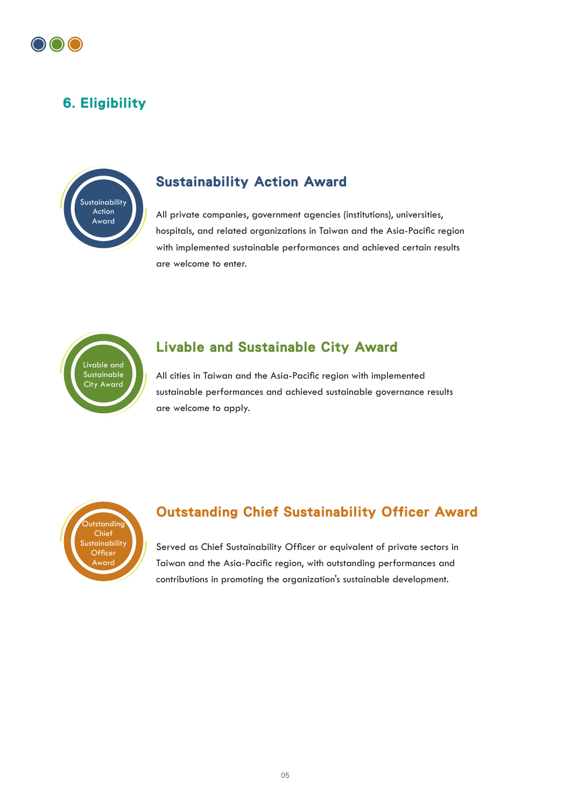

### 6. Eligibility



#### Sustainability Action Award

All private companies, government agencies (institutions), universities, hospitals, and related organizations in Taiwan and the Asia-Pacific region with implemented sustainable performances and achieved certain results are welcome to enter.



#### Livable and Sustainable City Award

All cities in Taiwan and the Asia-Pacific region with implemented sustainable performances and achieved sustainable governance results are welcome to apply.



#### Outstanding Chief Sustainability Officer Award

Served as Chief Sustainability Officer or equivalent of private sectors in Taiwan and the Asia-Pacific region, with outstanding performances and contributions in promoting the organization's sustainable development.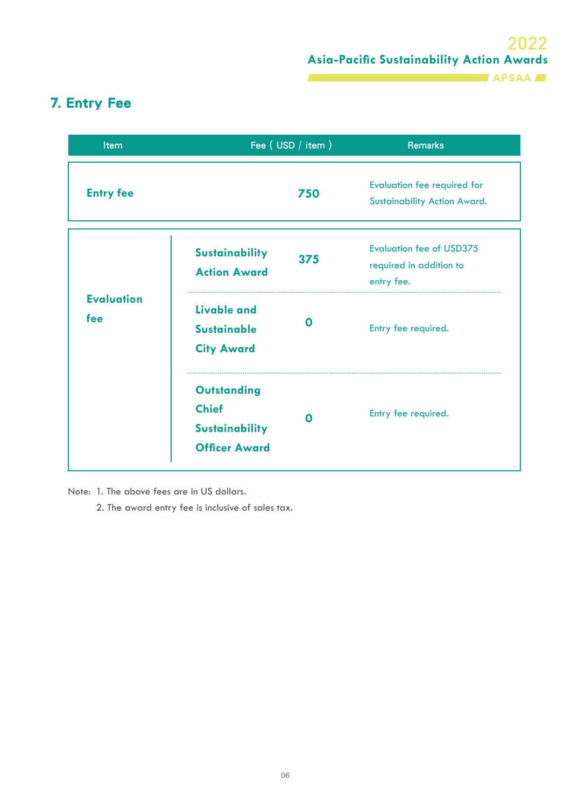#### **APSAA**

### 7. Entry Fee

| Item                     | Fee (USD / item )                                                                               | <b>Remarks</b>                                                           |  |
|--------------------------|-------------------------------------------------------------------------------------------------|--------------------------------------------------------------------------|--|
| <b>Entry fee</b>         | 750                                                                                             | <b>Evaluation fee required for</b><br>Sustainability Action Award.       |  |
|                          | <b>Sustainability</b><br>375<br><b>Action Award</b>                                             | <b>Evaluation fee of USD375</b><br>required in addition to<br>entry fee. |  |
| <b>Evaluation</b><br>fee | <b>Livable and</b><br>$\Omega$<br><b>Sustainable</b><br><b>City Award</b>                       | Entry fee required.                                                      |  |
|                          | <b>Outstanding</b><br><b>Chief</b><br>$\Omega$<br><b>Sustainability</b><br><b>Officer Award</b> | Entry fee required.                                                      |  |

Note: 1. The above fees are in US dollars.

2. The award entry fee is inclusive of sales tax.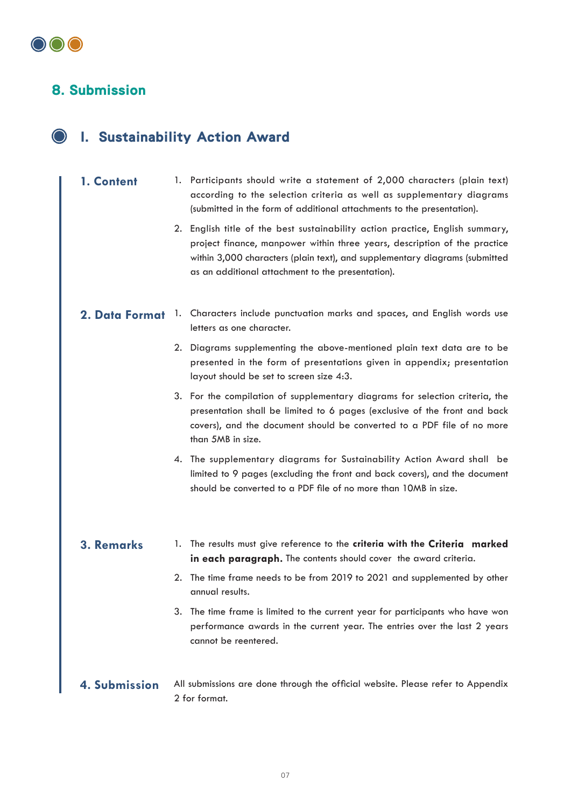#### 8. Submission

### I. Sustainability Action Award

- **1. Content** 1. Participants should write a statement of 2,000 characters (plain text) according to the selection criteria as well as supplementary diagrams (submitted in the form of additional attachments to the presentation).
	- 2. English title of the best sustainability action practice, English summary, project finance, manpower within three years, description of the practice within 3,000 characters (plain text), and supplementary diagrams (submitted as an additional attachment to the presentation).
- 2. Data Format 1. Characters include punctuation marks and spaces, and English words use letters as one character.
	- 2. Diagrams supplementing the above-mentioned plain text data are to be presented in the form of presentations given in appendix; presentation layout should be set to screen size 4:3.
	- 3. For the compilation of supplementary diagrams for selection criteria, the presentation shall be limited to 6 pages (exclusive of the front and back covers), and the document should be converted to a PDF file of no more than 5MB in size.
	- 4. The supplementary diagrams for Sustainability Action Award shall be limited to 9 pages (excluding the front and back covers), and the document should be converted to a PDF file of no more than 10MB in size.

#### **3. Remarks**

- 1. The results must give reference to the **criteria with the Criteria marked in each paragraph.** The contents should cover the award criteria.
- 2. The time frame needs to be from 2019 to 2021 and supplemented by other annual results.
- 3. The time frame is limited to the current year for participants who have won performance awards in the current year. The entries over the last 2 years cannot be reentered.
- **4. Submission** All submissions are done through the official website. Please refer to Appendix 2 for format.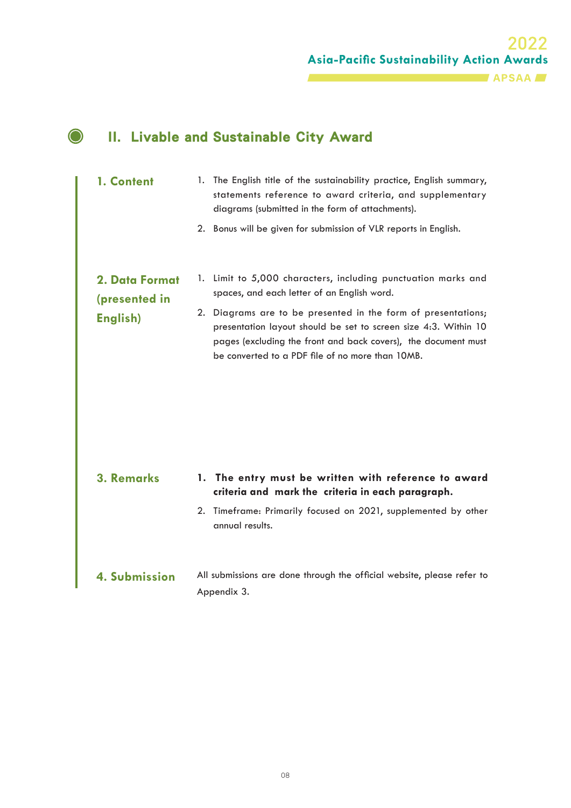### II. Livable and Sustainable City Award

 $\bullet$ 

| 1. Content                      | 1. The English title of the sustainability practice, English summary,<br>statements reference to award criteria, and supplementary<br>diagrams (submitted in the form of attachments).                                                                 |
|---------------------------------|--------------------------------------------------------------------------------------------------------------------------------------------------------------------------------------------------------------------------------------------------------|
|                                 | 2. Bonus will be given for submission of VLR reports in English.                                                                                                                                                                                       |
| 2. Data Format<br>(presented in | 1. Limit to 5,000 characters, including punctuation marks and<br>spaces, and each letter of an English word.                                                                                                                                           |
| English)                        | 2. Diagrams are to be presented in the form of presentations;<br>presentation layout should be set to screen size 4:3. Within 10<br>pages (excluding the front and back covers), the document must<br>be converted to a PDF file of no more than 10MB. |
| <b>3. Remarks</b>               | 1. The entry must be written with reference to award<br>criteria and mark the criteria in each paragraph.                                                                                                                                              |
|                                 | 2. Timeframe: Primarily focused on 2021, supplemented by other<br>annual results.                                                                                                                                                                      |
| 4. Submission                   | All submissions are done through the official website, please refer to<br>Appendix 3.                                                                                                                                                                  |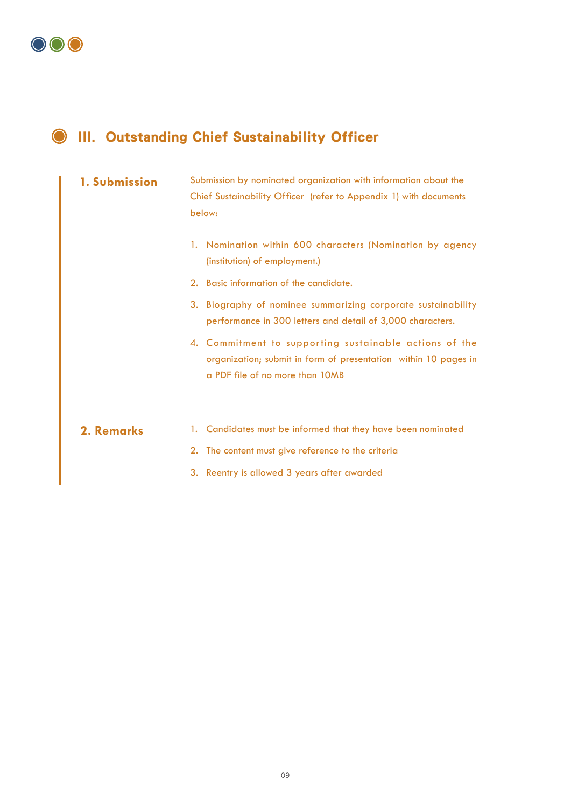

### III. Outstanding Chief Sustainability Officer

#### **1. Submission**

Submission by nominated organization with information about the Chief Sustainability Officer (refer to Appendix 1) with documents below:

- 1. Nomination within 600 characters (Nomination by agency (institution) of employment.)
- 2. Basic information of the candidate.
- 3. Biography of nominee summarizing corporate sustainability performance in 300 letters and detail of 3,000 characters.
- 4. Commitment to supporting sustainable actions of the organization; submit in form of presentation within 10 pages in a PDF file of no more than 10MB

#### **2. Remarks**

- 1. Candidates must be informed that they have been nominated
- 2. The content must give reference to the criteria
- 3. Reentry is allowed 3 years after awarded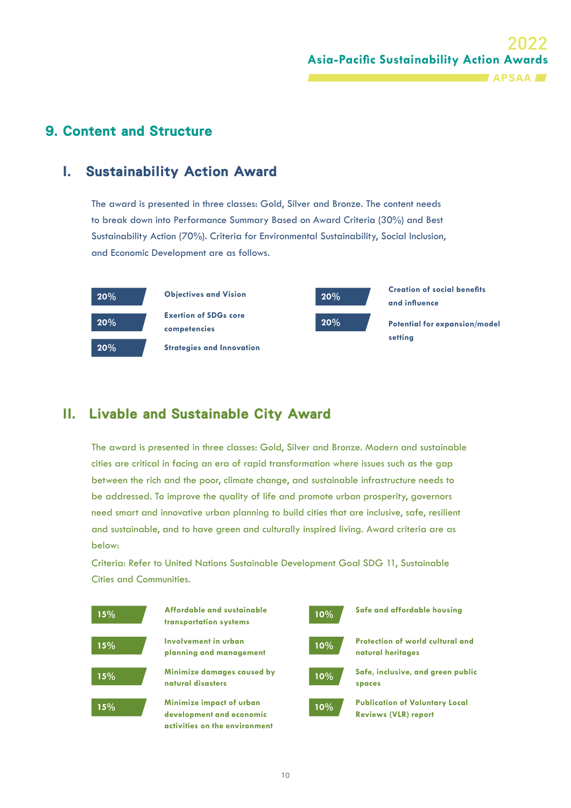#### 9. Content and Structure

#### I. Sustainability Action Award

The award is presented in three classes: Gold, Silver and Bronze. The content needs to break down into Performance Summary Based on Award Criteria (30%) and Best Sustainability Action (70%). Criteria for Environmental Sustainability, Social Inclusion, and Economic Development are as follows.



#### II. Livable and Sustainable City Award

The award is presented in three classes: Gold, Silver and Bronze. Modern and sustainable cities are critical in facing an era of rapid transformation where issues such as the gap between the rich and the poor, climate change, and sustainable infrastructure needs to be addressed. To improve the quality of life and promote urban prosperity, governors need smart and innovative urban planning to build cities that are inclusive, safe, resilient and sustainable, and to have green and culturally inspired living. Award criteria are as below:

Criteria: Refer to United Nations Sustainable Development Goal SDG 11, Sustainable Cities and Communities.

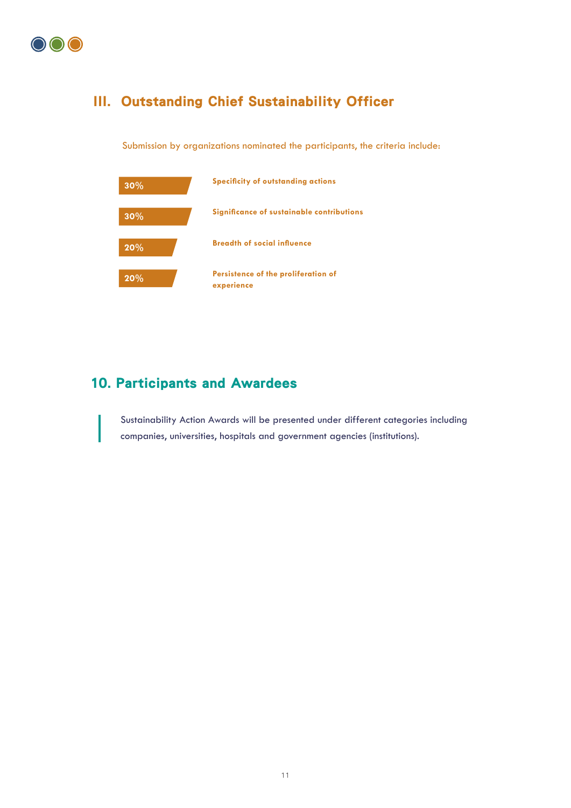

#### III. Outstanding Chief Sustainability Officer

Submission by organizations nominated the participants, the criteria include:



#### 10. Participants and Awardees

Sustainability Action Awards will be presented under different categories including companies, universities, hospitals and government agencies (institutions).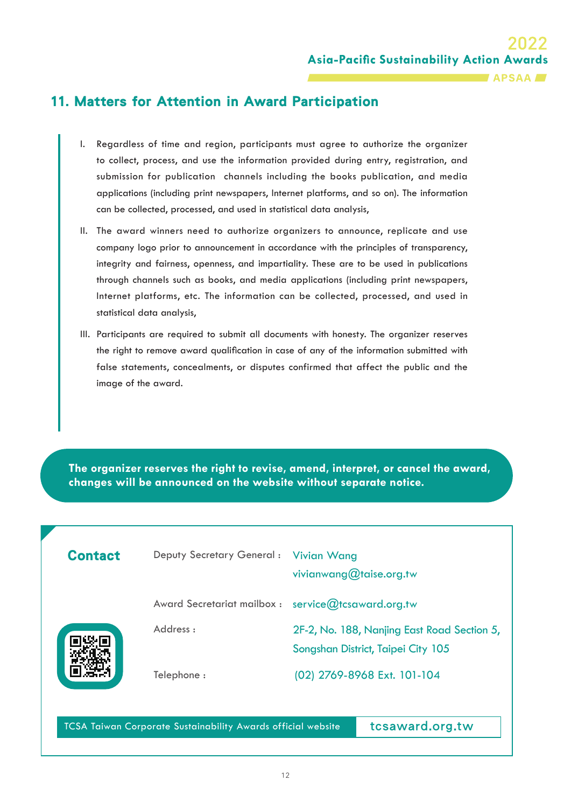#### 11. Matters for Attention in Award Participation

- I. Regardless of time and region, participants must agree to authorize the organizer to collect, process, and use the information provided during entry, registration, and submission for publication channels including the books publication, and media applications (including print newspapers, Internet platforms, and so on). The information can be collected, processed, and used in statistical data analysis,
- II. The award winners need to authorize organizers to announce, replicate and use company logo prior to announcement in accordance with the principles of transparency, integrity and fairness, openness, and impartiality. These are to be used in publications through channels such as books, and media applications (including print newspapers, Internet platforms, etc. The information can be collected, processed, and used in statistical data analysis,
- III. Participants are required to submit all documents with honesty. The organizer reserves the right to remove award qualification in case of any of the information submitted with false statements, concealments, or disputes confirmed that affect the public and the image of the award.

**The organizer reserves the right to revise, amend, interpret, or cancel the award, changes will be announced on the website without separate notice.**

| <b>Contact</b> | Deputy Secretary General: Vivian Wang               | vivianwang@taise.org.tw                                                           |
|----------------|-----------------------------------------------------|-----------------------------------------------------------------------------------|
|                | Award Secretariat mailbox : service@tcsaward.org.tw |                                                                                   |
|                | Address:                                            | 2F-2, No. 188, Nanjing East Road Section 5,<br>Songshan District, Taipei City 105 |
|                | Telephone:                                          | (02) 2769-8968 Ext. 101-104                                                       |

TCSA Taiwan Corporate Sustainability Awards official website

tcsaward.org.tw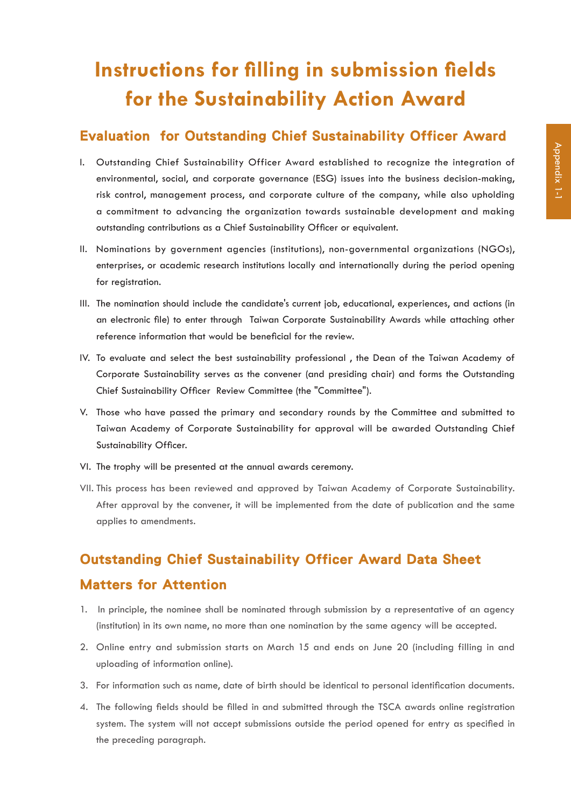# **Instructions for filling in submission fields for the Sustainability Action Award**

#### Evaluation for Outstanding Chief Sustainability Officer Award

- I. Outstanding Chief Sustainability Officer Award established to recognize the integration of environmental, social, and corporate governance (ESG) issues into the business decision-making, risk control, management process, and corporate culture of the company, while also upholding a commitment to advancing the organization towards sustainable development and making outstanding contributions as a Chief Sustainability Officer or equivalent.
- II. Nominations by government agencies (institutions), non-governmental organizations (NGOs), enterprises, or academic research institutions locally and internationally during the period opening for registration.
- III. The nomination should include the candidate's current job, educational, experiences, and actions (in an electronic file) to enter through Taiwan Corporate Sustainability Awards while attaching other reference information that would be beneficial for the review.
- IV. To evaluate and select the best sustainability professional , the Dean of the Taiwan Academy of Corporate Sustainability serves as the convener (and presiding chair) and forms the Outstanding Chief Sustainability Officer Review Committee (the "Committee").
- V. Those who have passed the primary and secondary rounds by the Committee and submitted to Taiwan Academy of Corporate Sustainability for approval will be awarded Outstanding Chief Sustainability Officer.
- VI. The trophy will be presented at the annual awards ceremony.
- VII. This process has been reviewed and approved by Taiwan Academy of Corporate Sustainability. After approval by the convener, it will be implemented from the date of publication and the same applies to amendments.

## Outstanding Chief Sustainability Officer Award Data Sheet Matters for Attention

- 1. In principle, the nominee shall be nominated through submission by a representative of an agency (institution) in its own name, no more than one nomination by the same agency will be accepted.
- 2. Online entry and submission starts on March 15 and ends on June 20 (including filling in and uploading of information online).
- 3. For information such as name, date of birth should be identical to personal identification documents.
- 4. The following fields should be filled in and submitted through the TSCA awards online registration system. The system will not accept submissions outside the period opened for entry as specified in the preceding paragraph.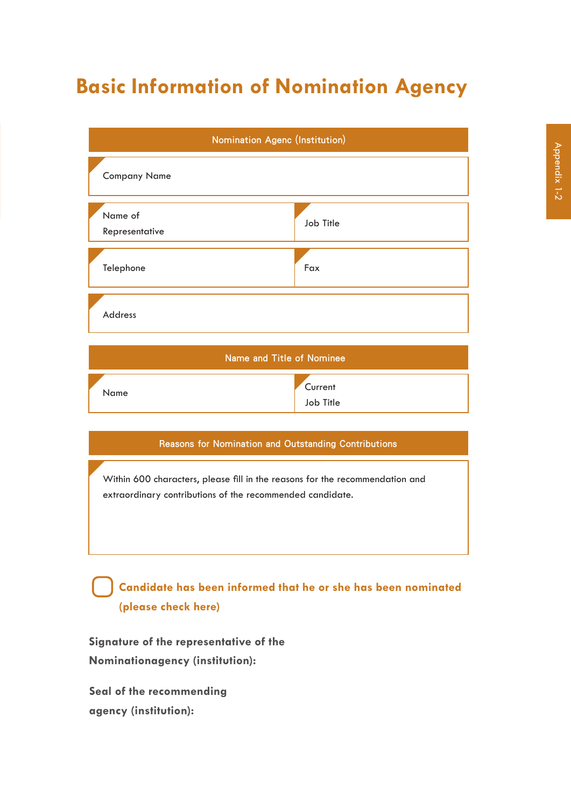# **Basic Information of Nomination Agency**

|                           | Nomination Agenc (Institution) |  |  |
|---------------------------|--------------------------------|--|--|
| <b>Company Name</b>       |                                |  |  |
| Name of<br>Representative | Job Title                      |  |  |
| Telephone                 | Fax                            |  |  |
| Address                   |                                |  |  |
| Name and Title of Nominee |                                |  |  |
|                           |                                |  |  |

#### Reasons for Nomination and Outstanding Contributions

**Current** Job Title

Within 600 characters, please fill in the reasons for the recommendation and extraordinary contributions of the recommended candidate.

### **Candidate has been informed that he or she has been nominated (please check here)**

**Signature of the representative of the Nominationagency (institution):**

**Seal of the recommending agency (institution):**

Name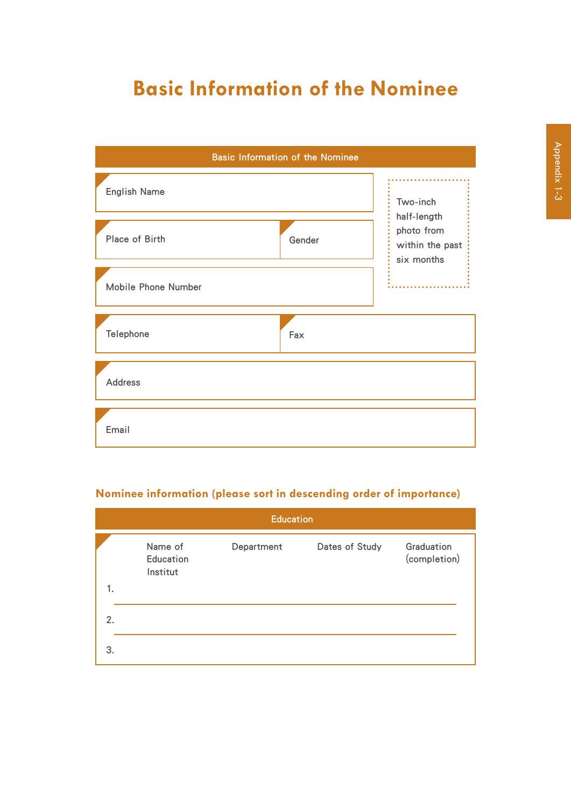# **Basic Information of the Nominee**



#### **Nominee information (please sort in descending order of importance)**

|    | <b>Education</b>                 |            |                |                            |
|----|----------------------------------|------------|----------------|----------------------------|
| 1. | Name of<br>Education<br>Institut | Department | Dates of Study | Graduation<br>(completion) |
|    |                                  |            |                |                            |
| 2. |                                  |            |                |                            |
| 3. |                                  |            |                |                            |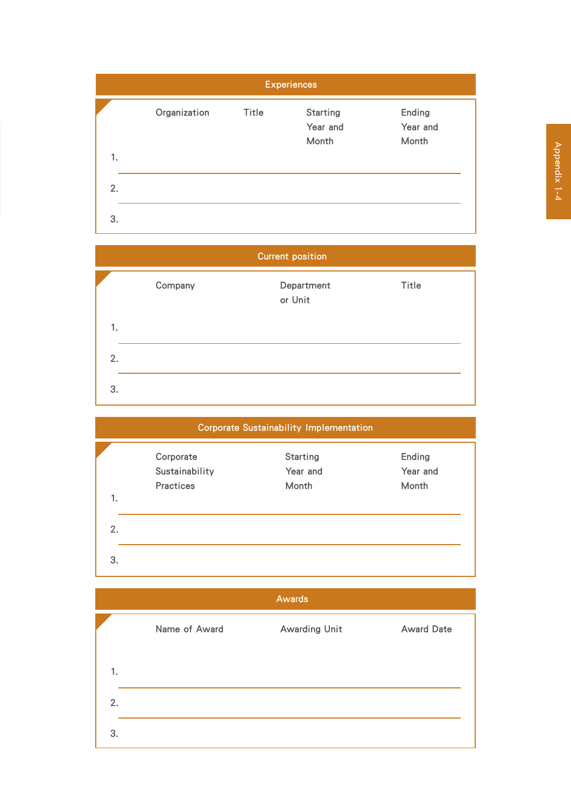



### Corporate Sustainability Implementation

|    | Corporate<br>Sustainability | <b>Starting</b><br>Year and | Ending<br>Year and |
|----|-----------------------------|-----------------------------|--------------------|
| 1. | <b>Practices</b>            | Month                       | Month              |
| 2. |                             |                             |                    |
| 3. |                             |                             |                    |

|    |               | <b>Awards</b>        |                   |
|----|---------------|----------------------|-------------------|
|    | Name of Award | <b>Awarding Unit</b> | <b>Award Date</b> |
| 1. |               |                      |                   |
| 2. |               |                      |                   |
| 3. |               |                      |                   |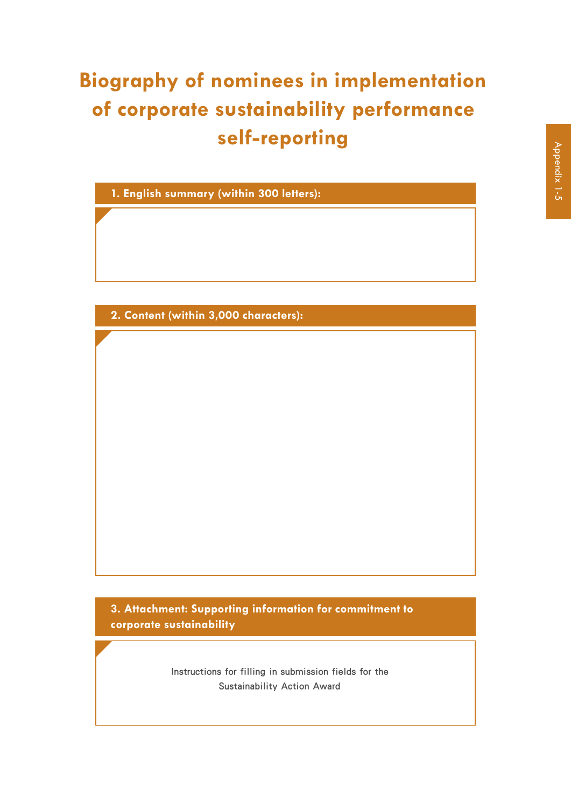# **Biography of nominees in implementation of corporate sustainability performance self-reporting**

**1. English summary (within 300 letters):**

**2. Content (within 3,000 characters):**

**3. Attachment: Supporting information for commitment to corporate sustainability**

> Instructions for filling in submission fields for the Sustainability Action Award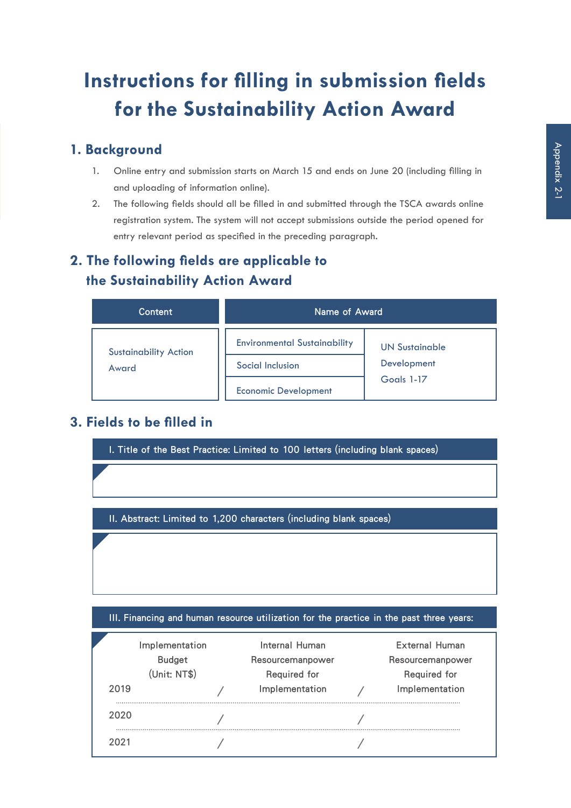# **Instructions for filling in submission fields for the Sustainability Action Award**

#### **1. Background**

- 1. Online entry and submission starts on March 15 and ends on June 20 (including filling in and uploading of information online).
- 2. The following fields should all be filled in and submitted through the TSCA awards online registration system. The system will not accept submissions outside the period opened for entry relevant period as specified in the preceding paragraph.

### **2. The following fields are applicable to the Sustainability Action Award**

| Content                      | Name of Award                       |                       |  |
|------------------------------|-------------------------------------|-----------------------|--|
| <b>Sustainability Action</b> | <b>Environmental Sustainability</b> | <b>UN Sustainable</b> |  |
| Award                        | Social Inclusion                    | Development           |  |
|                              | <b>Economic Development</b>         | Goals 1-17            |  |

### **3. Fields to be filled in**

I. Title of the Best Practice: Limited to 100 letters (including blank spaces)

II. Abstract: Limited to 1,200 characters (including blank spaces)

III. Financing and human resource utilization for the practice in the past three years:

| 2019 | Implementation<br><b>Budget</b><br>(Unit: NT\$) | Internal Human<br>Resourcemanpower<br><b>Required for</b><br>Implementation | External Human<br>Resourcemanpower<br><b>Required for</b><br>Implementation |
|------|-------------------------------------------------|-----------------------------------------------------------------------------|-----------------------------------------------------------------------------|
| 2020 |                                                 |                                                                             |                                                                             |
| クロクキ |                                                 |                                                                             |                                                                             |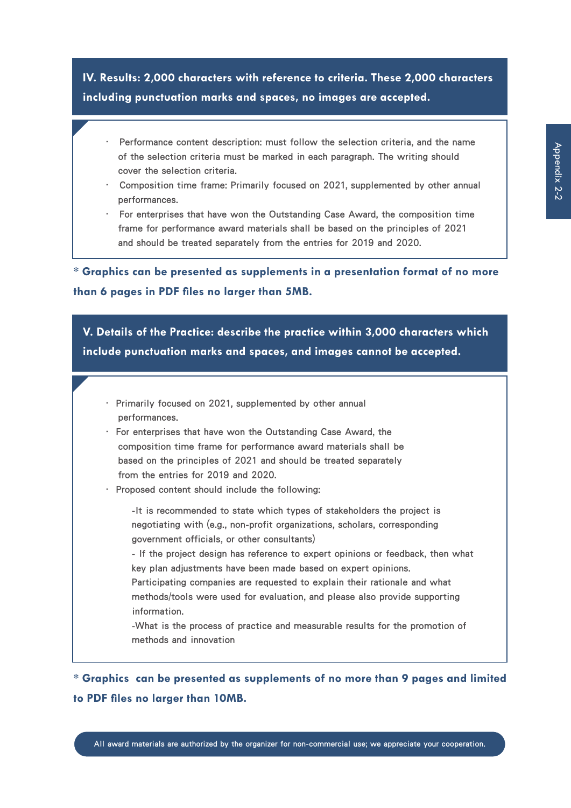**IV. Results: 2,000 characters with reference to criteria. These 2,000 characters including punctuation marks and spaces, no images are accepted.**

- . Performance content description: must follow the selection criteria, and the name of the selection criteria must be marked in each paragraph. The writing should cover the selection criteria.
- . Composition time frame: Primarily focused on 2021, supplemented by other annual performances.
- . For enterprises that have won the Outstanding Case Award, the composition time frame for performance award materials shall be based on the principles of 2021 and should be treated separately from the entries for 2019 and 2020.

**\* Graphics can be presented as supplements in a presentation format of no more than 6 pages in PDF files no larger than 5MB.**

**V. Details of the Practice: describe the practice within 3,000 characters which include punctuation marks and spaces, and images cannot be accepted.**

- . Primarily focused on 2021, supplemented by other annual performances.
- . For enterprises that have won the Outstanding Case Award, the composition time frame for performance award materials shall be based on the principles of 2021 and should be treated separately from the entries for 2019 and 2020.
- . Proposed content should include the following:

-It is recommended to state which types of stakeholders the project is negotiating with (e.g., non-profit organizations, scholars, corresponding government officials, or other consultants)

- If the project design has reference to expert opinions or feedback, then what key plan adjustments have been made based on expert opinions.

Participating companies are requested to explain their rationale and what methods/tools were used for evaluation, and please also provide supporting information.

-What is the process of practice and measurable results for the promotion of methods and innovation

**\* Graphics can be presented as supplements of no more than 9 pages and limited to PDF files no larger than 10MB.**